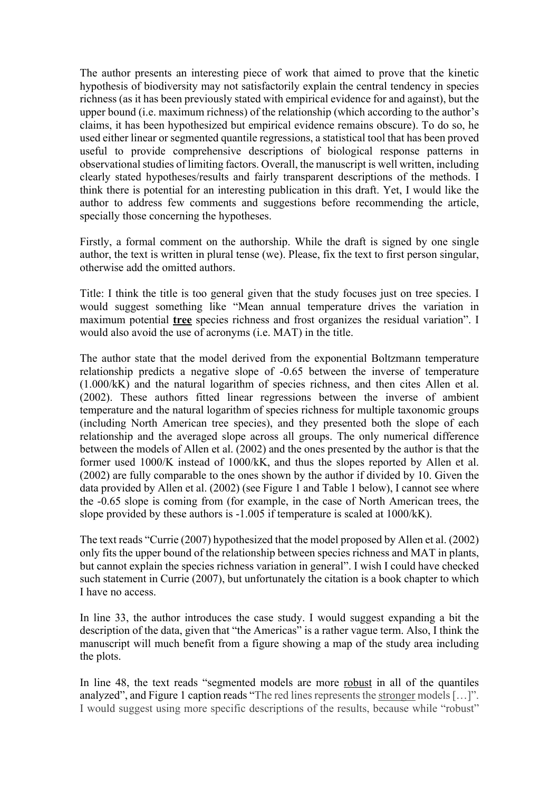The author presents an interesting piece of work that aimed to prove that the kinetic hypothesis of biodiversity may not satisfactorily explain the central tendency in species richness (as it has been previously stated with empirical evidence for and against), but the upper bound (i.e. maximum richness) of the relationship (which according to the author's claims, it has been hypothesized but empirical evidence remains obscure). To do so, he used either linear or segmented quantile regressions, a statistical tool that has been proved useful to provide comprehensive descriptions of biological response patterns in observational studies of limiting factors. Overall, the manuscript is well written, including clearly stated hypotheses/results and fairly transparent descriptions of the methods. I think there is potential for an interesting publication in this draft. Yet, I would like the author to address few comments and suggestions before recommending the article, specially those concerning the hypotheses.

Firstly, a formal comment on the authorship. While the draft is signed by one single author, the text is written in plural tense (we). Please, fix the text to first person singular, otherwise add the omitted authors.

Title: I think the title is too general given that the study focuses just on tree species. I would suggest something like "Mean annual temperature drives the variation in maximum potential **tree** species richness and frost organizes the residual variation". I would also avoid the use of acronyms (i.e. MAT) in the title.

The author state that the model derived from the exponential Boltzmann temperature relationship predicts a negative slope of -0.65 between the inverse of temperature (1.000/kK) and the natural logarithm of species richness, and then cites Allen et al. (2002). These authors fitted linear regressions between the inverse of ambient temperature and the natural logarithm of species richness for multiple taxonomic groups (including North American tree species), and they presented both the slope of each relationship and the averaged slope across all groups. The only numerical difference between the models of Allen et al. (2002) and the ones presented by the author is that the former used 1000/K instead of 1000/kK, and thus the slopes reported by Allen et al. (2002) are fully comparable to the ones shown by the author if divided by 10. Given the data provided by Allen et al. (2002) (see Figure 1 and Table 1 below), I cannot see where the -0.65 slope is coming from (for example, in the case of North American trees, the slope provided by these authors is -1.005 if temperature is scaled at 1000/kK).

The text reads "Currie (2007) hypothesized that the model proposed by Allen et al. (2002) only fits the upper bound of the relationship between species richness and MAT in plants, but cannot explain the species richness variation in general". I wish I could have checked such statement in Currie (2007), but unfortunately the citation is a book chapter to which I have no access.

In line 33, the author introduces the case study. I would suggest expanding a bit the description of the data, given that "the Americas" is a rather vague term. Also, I think the manuscript will much benefit from a figure showing a map of the study area including the plots.

In line 48, the text reads "segmented models are more robust in all of the quantiles analyzed", and Figure 1 caption reads "The red lines represents the stronger models […]". I would suggest using more specific descriptions of the results, because while "robust"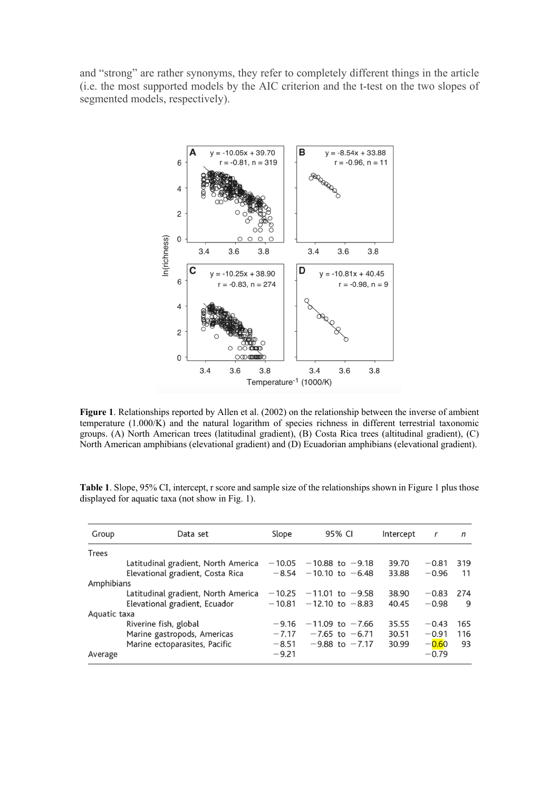and "strong" are rather synonyms, they refer to completely different things in the article (i.e. the most supported models by the AIC criterion and the t-test on the two slopes of segmented models, respectively).



**Figure 1**. Relationships reported by Allen et al. (2002) on the relationship between the inverse of ambient temperature (1.000/K) and the natural logarithm of species richness in different terrestrial taxonomic groups. (A) North American trees (latitudinal gradient), (B) Costa Rica trees (altitudinal gradient), (C) North American amphibians (elevational gradient) and (D) Ecuadorian amphibians (elevational gradient).

| Group        | Data set                            | Slope    | 95% CI                     | Intercept | $\mathbf r$ | n   |
|--------------|-------------------------------------|----------|----------------------------|-----------|-------------|-----|
| <b>Trees</b> |                                     |          |                            |           |             |     |
|              | Latitudinal gradient, North America | $-10.05$ | $-10.88$ to $-9.18$        | 39.70     | $-0.81$     | 319 |
|              | Elevational gradient, Costa Rica    |          | $-8.54 - 10.10$ to $-6.48$ | 33.88     | $-0.96$     | 11  |
| Amphibians   |                                     |          |                            |           |             |     |
|              | Latitudinal gradient, North America | $-10.25$ | $-11.01$ to $-9.58$        | 38.90     | $-0.83$     | 274 |
|              | Elevational gradient, Ecuador       | $-10.81$ | $-12.10$ to $-8.83$        | 40.45     | $-0.98$     | 9   |
| Aquatic taxa |                                     |          |                            |           |             |     |
|              | Riverine fish, global               | $-9.16$  | $-11.09$ to $-7.66$        | 35.55     | $-0.43$     | 165 |
|              | Marine gastropods, Americas         | $-7.17$  | $-7.65$ to $-6.71$         | 30.51     | $-0.91$     | 116 |
|              | Marine ectoparasites, Pacific       | $-8.51$  | $-9.88$ to $-7.17$         | 30.99     | $-0.60$     | 93  |
| Average      |                                     | $-9.21$  |                            |           | $-0.79$     |     |

**Table 1**. Slope, 95% CI, intercept, r score and sample size of the relationships shown in Figure 1 plus those displayed for aquatic taxa (not show in Fig. 1).